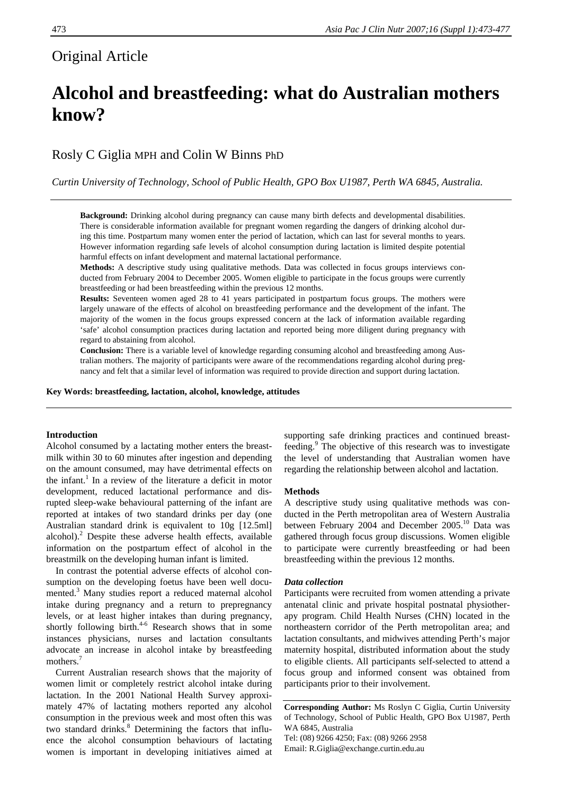# Original Article

# **Alcohol and breastfeeding: what do Australian mothers know?**

Rosly C Giglia MPH and Colin W Binns PhD

*Curtin University of Technology, School of Public Health, GPO Box U1987, Perth WA 6845, Australia.* 

**Background:** Drinking alcohol during pregnancy can cause many birth defects and developmental disabilities. There is considerable information available for pregnant women regarding the dangers of drinking alcohol during this time. Postpartum many women enter the period of lactation, which can last for several months to years. However information regarding safe levels of alcohol consumption during lactation is limited despite potential harmful effects on infant development and maternal lactational performance.

**Methods:** A descriptive study using qualitative methods. Data was collected in focus groups interviews conducted from February 2004 to December 2005. Women eligible to participate in the focus groups were currently breastfeeding or had been breastfeeding within the previous 12 months.

**Results:** Seventeen women aged 28 to 41 years participated in postpartum focus groups. The mothers were largely unaware of the effects of alcohol on breastfeeding performance and the development of the infant. The majority of the women in the focus groups expressed concern at the lack of information available regarding 'safe' alcohol consumption practices during lactation and reported being more diligent during pregnancy with regard to abstaining from alcohol.

**Conclusion:** There is a variable level of knowledge regarding consuming alcohol and breastfeeding among Australian mothers. The majority of participants were aware of the recommendations regarding alcohol during pregnancy and felt that a similar level of information was required to provide direction and support during lactation.

**Key Words: breastfeeding, lactation, alcohol, knowledge, attitudes** 

# **Introduction**

Alcohol consumed by a lactating mother enters the breastmilk within 30 to 60 minutes after ingestion and depending on the amount consumed, may have detrimental effects on the infant.<sup>1</sup> In a review of the literature a deficit in motor development, reduced lactational performance and disrupted sleep-wake behavioural patterning of the infant are reported at intakes of two standard drinks per day (one Australian standard drink is equivalent to 10g [12.5ml] alcohol). $^{2}$  Despite these adverse health effects, available information on the postpartum effect of alcohol in the breastmilk on the developing human infant is limited.

In contrast the potential adverse effects of alcohol consumption on the developing foetus have been well documented.<sup>3</sup> Many studies report a reduced maternal alcohol intake during pregnancy and a return to prepregnancy levels, or at least higher intakes than during pregnancy, shortly following birth. $4-6$  Research shows that in some instances physicians, nurses and lactation consultants advocate an increase in alcohol intake by breastfeeding mothers.<sup>7</sup>

Current Australian research shows that the majority of women limit or completely restrict alcohol intake during lactation. In the 2001 National Health Survey approximately 47% of lactating mothers reported any alcohol consumption in the previous week and most often this was two standard drinks.<sup>8</sup> Determining the factors that influence the alcohol consumption behaviours of lactating women is important in developing initiatives aimed at

supporting safe drinking practices and continued breastfeeding.<sup>9</sup> The objective of this research was to investigate the level of understanding that Australian women have regarding the relationship between alcohol and lactation.

# **Methods**

A descriptive study using qualitative methods was conducted in the Perth metropolitan area of Western Australia between February 2004 and December 2005.<sup>10</sup> Data was gathered through focus group discussions. Women eligible to participate were currently breastfeeding or had been breastfeeding within the previous 12 months.

# *Data collection*

Participants were recruited from women attending a private antenatal clinic and private hospital postnatal physiotherapy program. Child Health Nurses (CHN) located in the northeastern corridor of the Perth metropolitan area; and lactation consultants, and midwives attending Perth's major maternity hospital, distributed information about the study to eligible clients. All participants self-selected to attend a focus group and informed consent was obtained from participants prior to their involvement.

**Corresponding Author:** Ms Roslyn C Giglia, Curtin University of Technology, School of Public Health, GPO Box U1987, Perth WA 6845, Australia Tel: (08) 9266 4250; Fax: (08) 9266 2958 Email: R.Giglia@exchange.curtin.edu.au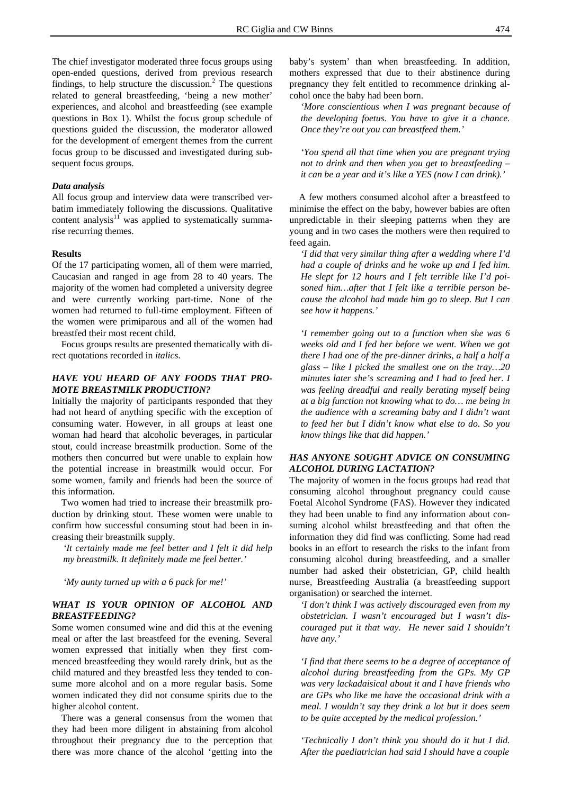The chief investigator moderated three focus groups using open-ended questions, derived from previous research findings, to help structure the discussion. $<sup>2</sup>$  The questions</sup> related to general breastfeeding, 'being a new mother' experiences, and alcohol and breastfeeding (see example questions in Box 1). Whilst the focus group schedule of questions guided the discussion, the moderator allowed for the development of emergent themes from the current focus group to be discussed and investigated during subsequent focus groups.

### *Data analysis*

All focus group and interview data were transcribed verbatim immediately following the discussions. Qualitative content analysis $11$  was applied to systematically summarise recurring themes.

# **Results**

Of the 17 participating women, all of them were married, Caucasian and ranged in age from 28 to 40 years. The majority of the women had completed a university degree and were currently working part-time. None of the women had returned to full-time employment. Fifteen of the women were primiparous and all of the women had breastfed their most recent child.

Focus groups results are presented thematically with direct quotations recorded in *italics*.

# *HAVE YOU HEARD OF ANY FOODS THAT PRO-MOTE BREASTMILK PRODUCTION?*

Initially the majority of participants responded that they had not heard of anything specific with the exception of consuming water. However, in all groups at least one woman had heard that alcoholic beverages, in particular stout, could increase breastmilk production. Some of the mothers then concurred but were unable to explain how the potential increase in breastmilk would occur. For some women, family and friends had been the source of this information.

Two women had tried to increase their breastmilk production by drinking stout. These women were unable to confirm how successful consuming stout had been in increasing their breastmilk supply.

*'It certainly made me feel better and I felt it did help my breastmilk. It definitely made me feel better.'* 

*'My aunty turned up with a 6 pack for me!'* 

# *WHAT IS YOUR OPINION OF ALCOHOL AND BREASTFEEDING?*

Some women consumed wine and did this at the evening meal or after the last breastfeed for the evening. Several women expressed that initially when they first commenced breastfeeding they would rarely drink, but as the child matured and they breastfed less they tended to consume more alcohol and on a more regular basis. Some women indicated they did not consume spirits due to the higher alcohol content.

There was a general consensus from the women that they had been more diligent in abstaining from alcohol throughout their pregnancy due to the perception that there was more chance of the alcohol 'getting into the baby's system' than when breastfeeding. In addition, mothers expressed that due to their abstinence during pregnancy they felt entitled to recommence drinking alcohol once the baby had been born.

*'More conscientious when I was pregnant because of the developing foetus. You have to give it a chance. Once they're out you can breastfeed them.'* 

*'You spend all that time when you are pregnant trying not to drink and then when you get to breastfeeding – it can be a year and it's like a YES (now I can drink).'* 

A few mothers consumed alcohol after a breastfeed to minimise the effect on the baby, however babies are often unpredictable in their sleeping patterns when they are young and in two cases the mothers were then required to feed again.

*'I did that very similar thing after a wedding where I'd had a couple of drinks and he woke up and I fed him. He slept for 12 hours and I felt terrible like I'd poisoned him…after that I felt like a terrible person because the alcohol had made him go to sleep. But I can see how it happens.'* 

*'I remember going out to a function when she was 6 weeks old and I fed her before we went. When we got there I had one of the pre-dinner drinks, a half a half a glass – like I picked the smallest one on the tray…20 minutes later she's screaming and I had to feed her. I was feeling dreadful and really berating myself being at a big function not knowing what to do… me being in the audience with a screaming baby and I didn't want to feed her but I didn't know what else to do. So you know things like that did happen.'* 

# *HAS ANYONE SOUGHT ADVICE ON CONSUMING ALCOHOL DURING LACTATION?*

The majority of women in the focus groups had read that consuming alcohol throughout pregnancy could cause Foetal Alcohol Syndrome (FAS). However they indicated they had been unable to find any information about consuming alcohol whilst breastfeeding and that often the information they did find was conflicting. Some had read books in an effort to research the risks to the infant from consuming alcohol during breastfeeding, and a smaller number had asked their obstetrician, GP, child health nurse, Breastfeeding Australia (a breastfeeding support organisation) or searched the internet.

*'I don't think I was actively discouraged even from my obstetrician. I wasn't encouraged but I wasn't discouraged put it that way. He never said I shouldn't have any.'* 

*'I find that there seems to be a degree of acceptance of alcohol during breastfeeding from the GPs. My GP was very lackadaisical about it and I have friends who are GPs who like me have the occasional drink with a meal. I wouldn't say they drink a lot but it does seem to be quite accepted by the medical profession.'* 

*'Technically I don't think you should do it but I did. After the paediatrician had said I should have a couple*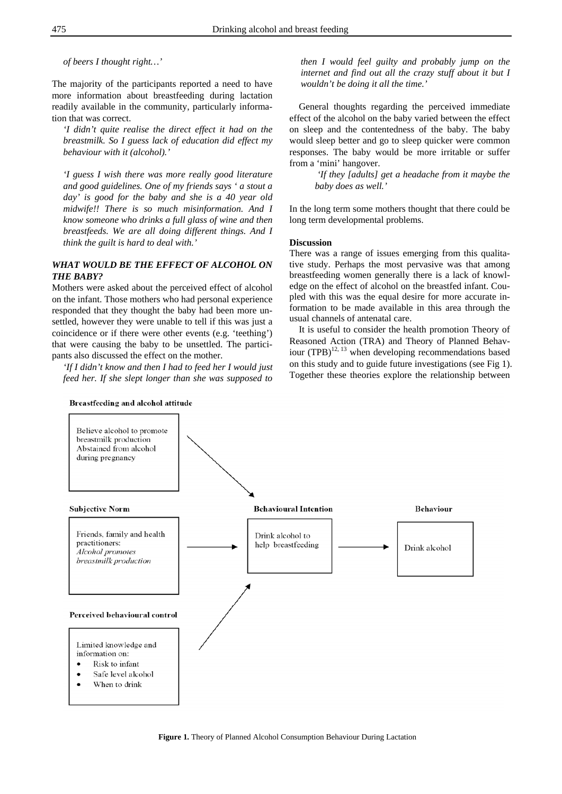*of beers I thought right…'* 

The majority of the participants reported a need to have more information about breastfeeding during lactation readily available in the community, particularly information that was correct.

*'I didn't quite realise the direct effect it had on the breastmilk. So I guess lack of education did effect my behaviour with it (alcohol).'* 

*'I guess I wish there was more really good literature and good guidelines. One of my friends says ' a stout a day' is good for the baby and she is a 40 year old midwife!! There is so much misinformation. And I know someone who drinks a full glass of wine and then breastfeeds. We are all doing different things. And I think the guilt is hard to deal with.'* 

# *WHAT WOULD BE THE EFFECT OF ALCOHOL ON THE BABY?*

Mothers were asked about the perceived effect of alcohol on the infant. Those mothers who had personal experience responded that they thought the baby had been more unsettled, however they were unable to tell if this was just a coincidence or if there were other events (e.g. 'teething') that were causing the baby to be unsettled. The participants also discussed the effect on the mother.

*'If I didn't know and then I had to feed her I would just feed her. If she slept longer than she was supposed to*  *then I would feel guilty and probably jump on the internet and find out all the crazy stuff about it but I wouldn't be doing it all the time.'* 

General thoughts regarding the perceived immediate effect of the alcohol on the baby varied between the effect on sleep and the contentedness of the baby. The baby would sleep better and go to sleep quicker were common responses. The baby would be more irritable or suffer from a 'mini' hangover.

> *'If they [adults] get a headache from it maybe the baby does as well.'*

In the long term some mothers thought that there could be long term developmental problems.

## **Discussion**

There was a range of issues emerging from this qualitative study. Perhaps the most pervasive was that among breastfeeding women generally there is a lack of knowledge on the effect of alcohol on the breastfed infant. Coupled with this was the equal desire for more accurate information to be made available in this area through the usual channels of antenatal care.

It is useful to consider the health promotion Theory of Reasoned Action (TRA) and Theory of Planned Behaviour  $(TPB)^{12, 13}$  when developing recommendations based on this study and to guide future investigations (see Fig 1). Together these theories explore the relationship between

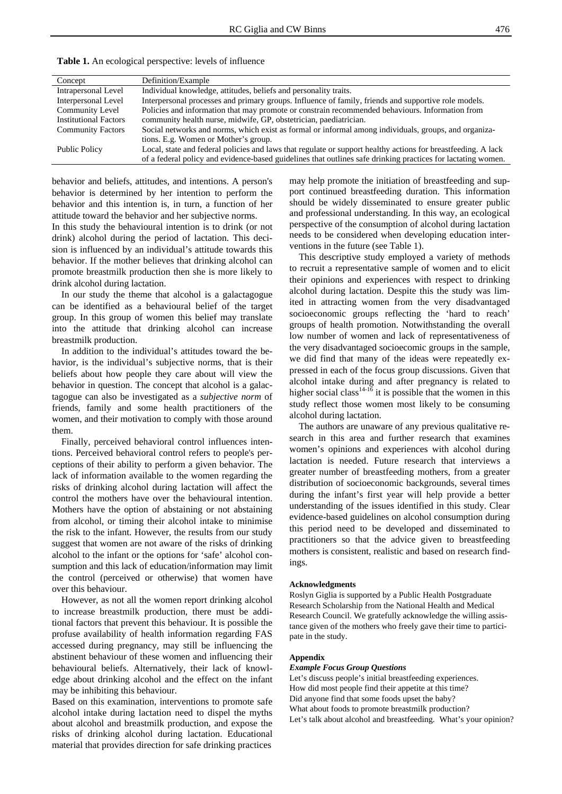| Concept                      | Definition/Example                                                                                            |
|------------------------------|---------------------------------------------------------------------------------------------------------------|
| Intrapersonal Level          | Individual knowledge, attitudes, beliefs and personality traits.                                              |
| Interpersonal Level          | Interpersonal processes and primary groups. Influence of family, friends and supportive role models.          |
| Community Level              | Policies and information that may promote or constrain recommended behaviours. Information from               |
| <b>Institutional Factors</b> | community health nurse, midwife, GP, obstetrician, paediatrician.                                             |
| <b>Community Factors</b>     | Social networks and norms, which exist as formal or informal among individuals, groups, and organiza-         |
|                              | tions. E.g. Women or Mother's group.                                                                          |
| <b>Public Policy</b>         | Local, state and federal policies and laws that regulate or support healthy actions for breastfeeding. A lack |
|                              | of a federal policy and evidence-based guidelines that outlines safe drinking practices for lactating women.  |

**Table 1.** An ecological perspective: levels of influence

behavior and beliefs, attitudes, and intentions. A person's behavior is determined by her intention to perform the behavior and this intention is, in turn, a function of her attitude toward the behavior and her subjective norms.

In this study the behavioural intention is to drink (or not drink) alcohol during the period of lactation. This decision is influenced by an individual's attitude towards this behavior. If the mother believes that drinking alcohol can promote breastmilk production then she is more likely to drink alcohol during lactation.

In our study the theme that alcohol is a galactagogue can be identified as a behavioural belief of the target group. In this group of women this belief may translate into the attitude that drinking alcohol can increase breastmilk production.

In addition to the individual's attitudes toward the behavior, is the individual's subjective norms, that is their beliefs about how people they care about will view the behavior in question. The concept that alcohol is a galactagogue can also be investigated as a *subjective norm* of friends, family and some health practitioners of the women, and their motivation to comply with those around them.

Finally, perceived behavioral control influences intentions. Perceived behavioral control refers to people's perceptions of their ability to perform a given behavior. The lack of information available to the women regarding the risks of drinking alcohol during lactation will affect the control the mothers have over the behavioural intention. Mothers have the option of abstaining or not abstaining from alcohol, or timing their alcohol intake to minimise the risk to the infant. However, the results from our study suggest that women are not aware of the risks of drinking alcohol to the infant or the options for 'safe' alcohol consumption and this lack of education/information may limit the control (perceived or otherwise) that women have over this behaviour.

However, as not all the women report drinking alcohol to increase breastmilk production, there must be additional factors that prevent this behaviour. It is possible the profuse availability of health information regarding FAS accessed during pregnancy, may still be influencing the abstinent behaviour of these women and influencing their behavioural beliefs. Alternatively, their lack of knowledge about drinking alcohol and the effect on the infant may be inhibiting this behaviour.

Based on this examination, interventions to promote safe alcohol intake during lactation need to dispel the myths about alcohol and breastmilk production, and expose the risks of drinking alcohol during lactation. Educational material that provides direction for safe drinking practices

may help promote the initiation of breastfeeding and support continued breastfeeding duration. This information should be widely disseminated to ensure greater public and professional understanding. In this way, an ecological perspective of the consumption of alcohol during lactation needs to be considered when developing education interventions in the future (see Table 1).

This descriptive study employed a variety of methods to recruit a representative sample of women and to elicit their opinions and experiences with respect to drinking alcohol during lactation. Despite this the study was limited in attracting women from the very disadvantaged socioeconomic groups reflecting the 'hard to reach' groups of health promotion. Notwithstanding the overall low number of women and lack of representativeness of the very disadvantaged socioecomic groups in the sample, we did find that many of the ideas were repeatedly expressed in each of the focus group discussions. Given that alcohol intake during and after pregnancy is related to higher social class<sup>14-16</sup> it is possible that the women in this study reflect those women most likely to be consuming alcohol during lactation.

The authors are unaware of any previous qualitative research in this area and further research that examines women's opinions and experiences with alcohol during lactation is needed. Future research that interviews a greater number of breastfeeding mothers, from a greater distribution of socioeconomic backgrounds, several times during the infant's first year will help provide a better understanding of the issues identified in this study. Clear evidence-based guidelines on alcohol consumption during this period need to be developed and disseminated to practitioners so that the advice given to breastfeeding mothers is consistent, realistic and based on research findings.

#### **Acknowledgments**

Roslyn Giglia is supported by a Public Health Postgraduate Research Scholarship from the National Health and Medical Research Council. We gratefully acknowledge the willing assistance given of the mothers who freely gave their time to participate in the study.

#### **Appendix**

#### *Example Focus Group Questions*

Let's discuss people's initial breastfeeding experiences. How did most people find their appetite at this time? Did anyone find that some foods upset the baby? What about foods to promote breastmilk production? Let's talk about alcohol and breastfeeding. What's your opinion?